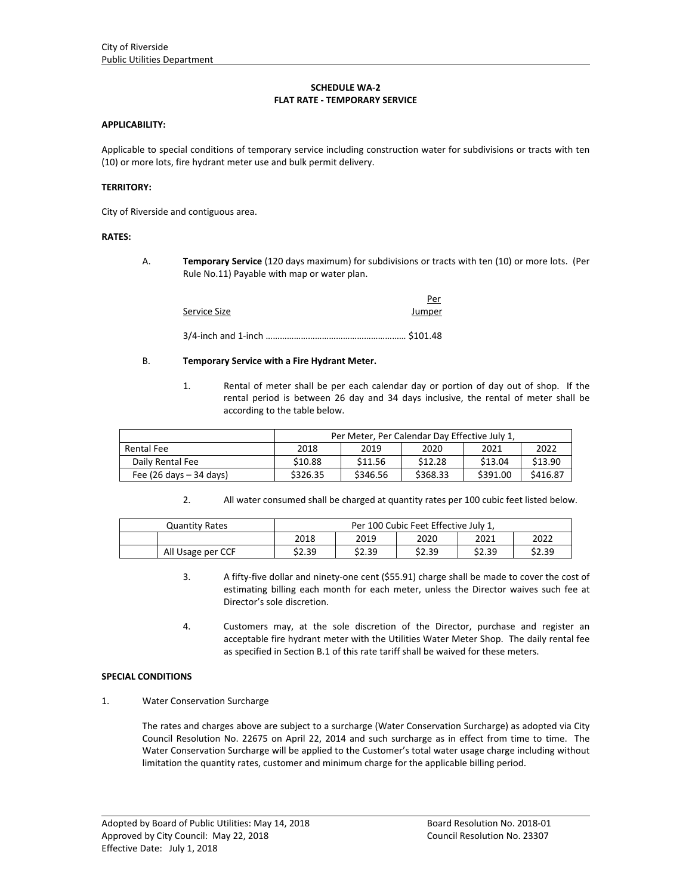# **SCHEDULE WA‐2 FLAT RATE ‐ TEMPORARY SERVICE**

### **APPLICABILITY:**

Applicable to special conditions of temporary service including construction water for subdivisions or tracts with ten (10) or more lots, fire hydrant meter use and bulk permit delivery.

#### **TERRITORY:**

City of Riverside and contiguous area.

### **RATES:**

A. **Temporary Service** (120 days maximum) for subdivisions or tracts with ten (10) or more lots. (Per Rule No.11) Payable with map or water plan.

<u>Persons and the contract of the state of the state of the state of the state of the state of the state of the state of the state of the state of the state of the state of the state of the state of the state of the state o</u> Service Size **Supervice Size 10 Service Size** 

3/4‐inch and 1‐inch …………………………………………………… \$101.48

### B. **Temporary Service with a Fire Hydrant Meter.**

1. Rental of meter shall be per each calendar day or portion of day out of shop. If the rental period is between 26 day and 34 days inclusive, the rental of meter shall be according to the table below.

|                                           | Per Meter, Per Calendar Day Effective July 1, |          |          |          |          |  |  |
|-------------------------------------------|-----------------------------------------------|----------|----------|----------|----------|--|--|
| Rental Fee                                | 2018                                          | 2019     | 2020     | 2021     | 2022     |  |  |
| Daily Rental Fee                          | \$10.88                                       | \$11.56  | \$12.28  | \$13.04  | \$13.90  |  |  |
| Fee $(26 \text{ days} - 34 \text{ days})$ | \$326.35                                      | \$346.56 | \$368.33 | \$391.00 | \$416.87 |  |  |

2. All water consumed shall be charged at quantity rates per 100 cubic feet listed below.

| Quantity Rates    | Per 100 Cubic Feet Effective July 1, |        |        |        |        |  |  |
|-------------------|--------------------------------------|--------|--------|--------|--------|--|--|
|                   | 2018                                 | 2019   | 2020   | 2021   | 2022   |  |  |
| All Usage per CCF | \$2.39                               | \$2.39 | \$2.39 | \$2.39 | \$2.39 |  |  |

- 3. A fifty-five dollar and ninety-one cent (\$55.91) charge shall be made to cover the cost of estimating billing each month for each meter, unless the Director waives such fee at Director's sole discretion.
- 4. Customers may, at the sole discretion of the Director, purchase and register an acceptable fire hydrant meter with the Utilities Water Meter Shop. The daily rental fee as specified in Section B.1 of this rate tariff shall be waived for these meters.

## **SPECIAL CONDITIONS**

1. Water Conservation Surcharge

The rates and charges above are subject to a surcharge (Water Conservation Surcharge) as adopted via City Council Resolution No. 22675 on April 22, 2014 and such surcharge as in effect from time to time. The Water Conservation Surcharge will be applied to the Customer's total water usage charge including without limitation the quantity rates, customer and minimum charge for the applicable billing period.

<u> 1989 - Johann Stoff, amerikansk politiker (d. 1989)</u>